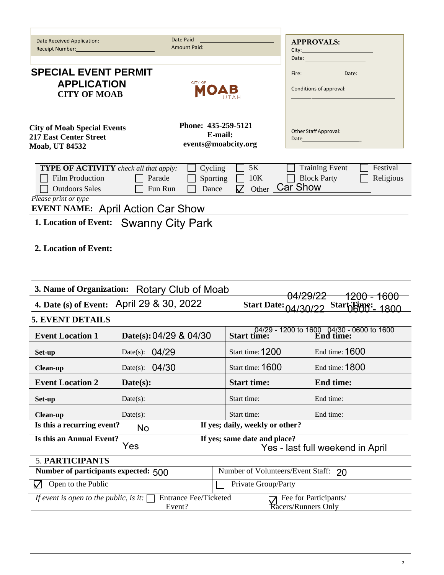| Date Received Application:<br>Receipt Number:                                                                                           | Date Paid<br><b>Amount Paid:</b> Amount Paid: |                                                      | <b>APPROVALS:</b>                                                                                                                                                                                                              |  |  |  |  |
|-----------------------------------------------------------------------------------------------------------------------------------------|-----------------------------------------------|------------------------------------------------------|--------------------------------------------------------------------------------------------------------------------------------------------------------------------------------------------------------------------------------|--|--|--|--|
|                                                                                                                                         |                                               |                                                      | Date: William State Street, Street Street, Street, Street, Street, Street, Street, Street, Street, Street, Street, Street, Street, Street, Street, Street, Street, Street, Street, Street, Street, Street, Street, Street, Str |  |  |  |  |
| <b>SPECIAL EVENT PERMIT</b>                                                                                                             |                                               | Fire: Date:                                          |                                                                                                                                                                                                                                |  |  |  |  |
| <b>APPLICATION</b>                                                                                                                      | CITY OF                                       |                                                      |                                                                                                                                                                                                                                |  |  |  |  |
| <b>CITY OF MOAB</b>                                                                                                                     |                                               |                                                      | Conditions of approval:                                                                                                                                                                                                        |  |  |  |  |
|                                                                                                                                         |                                               |                                                      |                                                                                                                                                                                                                                |  |  |  |  |
|                                                                                                                                         |                                               | Phone: 435-259-5121                                  |                                                                                                                                                                                                                                |  |  |  |  |
| <b>City of Moab Special Events</b><br><b>217 East Center Street</b>                                                                     |                                               | E-mail:                                              | Other Staff Approval: _______________<br>Date                                                                                                                                                                                  |  |  |  |  |
| <b>Moab, UT 84532</b>                                                                                                                   |                                               | events@moabcity.org                                  |                                                                                                                                                                                                                                |  |  |  |  |
|                                                                                                                                         |                                               |                                                      |                                                                                                                                                                                                                                |  |  |  |  |
| <b>TYPE OF ACTIVITY</b> check all that apply:                                                                                           | Cycling                                       | 5K                                                   | <b>Training Event</b><br>Festival                                                                                                                                                                                              |  |  |  |  |
| <b>Film Production</b><br><b>Outdoors Sales</b>                                                                                         | Parade<br>Fun Run<br>Dance                    | 10K<br>Sporting<br>Other Car Show<br>$\triangledown$ | <b>Block Party</b><br>Religious                                                                                                                                                                                                |  |  |  |  |
| Please print or type                                                                                                                    |                                               |                                                      |                                                                                                                                                                                                                                |  |  |  |  |
|                                                                                                                                         | <b>EVENT NAME: April Action Car Show</b>      |                                                      |                                                                                                                                                                                                                                |  |  |  |  |
|                                                                                                                                         | 1. Location of Event: Swanny City Park        |                                                      |                                                                                                                                                                                                                                |  |  |  |  |
| 2. Location of Event:                                                                                                                   |                                               |                                                      |                                                                                                                                                                                                                                |  |  |  |  |
|                                                                                                                                         | 3. Name of Organization: Rotary Club of Moab  |                                                      | <del>1200 - 1600</del><br><del>04/29/22</del>                                                                                                                                                                                  |  |  |  |  |
|                                                                                                                                         | 4. Date (s) of Event: April 29 & 30, 2022     |                                                      | Start Date: 04/30/22 Start Buy: 1800                                                                                                                                                                                           |  |  |  |  |
| <b>5. EVENT DETAILS</b>                                                                                                                 |                                               |                                                      |                                                                                                                                                                                                                                |  |  |  |  |
| <b>Event Location 1</b>                                                                                                                 | Date(s): 04/29 & 04/30                        | Start time:                                          | 04/29 - 1200 to 1600 04/30 - 0600 to 1600<br>ime: [End time:                                                                                                                                                                   |  |  |  |  |
| Set-up                                                                                                                                  | Date(s): $04/29$                              | Start time: 1200                                     | End time: 1600                                                                                                                                                                                                                 |  |  |  |  |
| <b>Clean-up</b>                                                                                                                         | 04/30<br>Date(s):                             | Start time: 1600                                     | End time: 1800                                                                                                                                                                                                                 |  |  |  |  |
| <b>Event Location 2</b>                                                                                                                 | $\textbf{Date}(s)$ :                          | <b>Start time:</b>                                   | <b>End time:</b>                                                                                                                                                                                                               |  |  |  |  |
| Set-up                                                                                                                                  | Date(s):                                      | Start time:                                          | End time:                                                                                                                                                                                                                      |  |  |  |  |
| <b>Clean-up</b>                                                                                                                         | Date(s):                                      | Start time:                                          | End time:                                                                                                                                                                                                                      |  |  |  |  |
| Is this a recurring event?                                                                                                              | No                                            | If yes; daily, weekly or other?                      |                                                                                                                                                                                                                                |  |  |  |  |
| Is this an Annual Event?                                                                                                                | Yes                                           | If yes; same date and place?                         | Yes - last full weekend in April                                                                                                                                                                                               |  |  |  |  |
| 5. PARTICIPANTS                                                                                                                         |                                               |                                                      |                                                                                                                                                                                                                                |  |  |  |  |
| Number of participants expected: 500                                                                                                    |                                               | Number of Volunteers/Event Staff: 20                 |                                                                                                                                                                                                                                |  |  |  |  |
| Open to the Public                                                                                                                      |                                               | Private Group/Party                                  |                                                                                                                                                                                                                                |  |  |  |  |
| If event is open to the public, is it:<br><b>Entrance Fee/Ticketed</b><br>Fee for Participants/<br>Event?<br><b>Kacers/Runners Only</b> |                                               |                                                      |                                                                                                                                                                                                                                |  |  |  |  |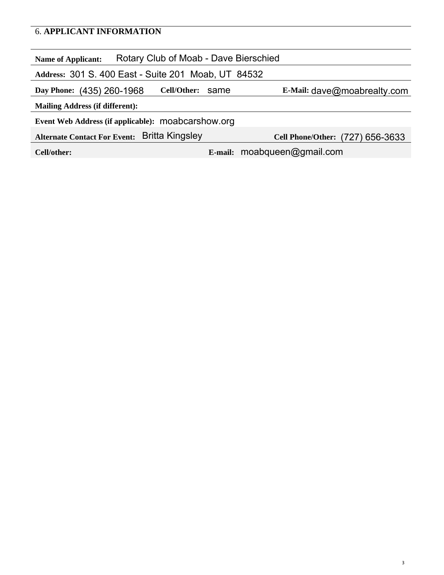### 6. **APPLICANT INFORMATION**

| Rotary Club of Moab - Dave Bierschied<br><b>Name of Applicant:</b>               |  |                                  |  |  |  |  |
|----------------------------------------------------------------------------------|--|----------------------------------|--|--|--|--|
| Address: 301 S. 400 East - Suite 201 Moab, UT 84532                              |  |                                  |  |  |  |  |
| Cell/Other:<br>E-Mail: $dave@modreadty.com$<br>Day Phone: (435) 260-1968<br>same |  |                                  |  |  |  |  |
| <b>Mailing Address (if different):</b>                                           |  |                                  |  |  |  |  |
| Event Web Address (if applicable): moabcarshow.org                               |  |                                  |  |  |  |  |
| Britta Kingsley<br><b>Alternate Contact For Event:</b>                           |  | Cell Phone/Other: (727) 656-3633 |  |  |  |  |
| Cell/other:                                                                      |  | E-mail: moabqueen@gmail.com      |  |  |  |  |
|                                                                                  |  |                                  |  |  |  |  |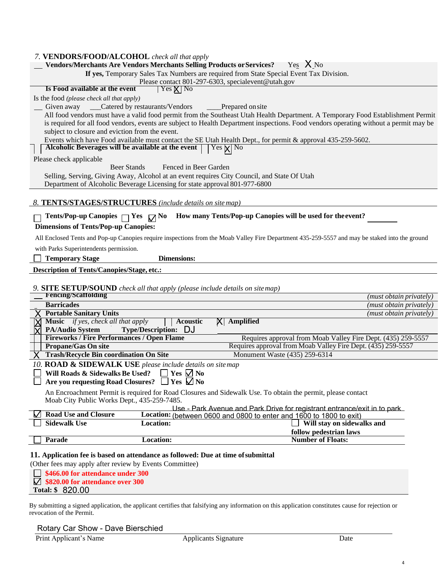| 7. VENDORS/FOOD/ALCOHOL check all that apply                                                                                                   |
|------------------------------------------------------------------------------------------------------------------------------------------------|
| Yes $X_{No}$<br><b>Vendors/Merchants Are Vendors Merchants Selling Products or Services?</b>                                                   |
| If yes, Temporary Sales Tax Numbers are required from State Special Event Tax Division.                                                        |
| Please contact 801-297-6303, specialevent@utah.gov<br>Is Food available at the event<br>$ $ Yes $X $ No                                        |
| Is the food (please check all that apply)                                                                                                      |
| Given away ____Catered by restaurants/Vendors<br>__Prepared on site                                                                            |
| All food vendors must have a valid food permit from the Southeast Utah Health Department. A Temporary Food Establishment Permit                |
| is required for all food vendors, events are subject to Health Department inspections. Food vendors operating without a permit may be          |
| subject to closure and eviction from the event.                                                                                                |
| Events which have Food available must contact the SE Utah Health Dept., for permit & approval 435-259-5602.                                    |
| Alcoholic Beverages will be available at the event $  \  $ Yes $\chi  $ No                                                                     |
| Please check applicable                                                                                                                        |
| Beer Stands<br>Fenced in Beer Garden                                                                                                           |
| Selling, Serving, Giving Away, Alcohol at an event requires City Council, and State Of Utah                                                    |
| Department of Alcoholic Beverage Licensing for state approval 801-977-6800                                                                     |
| 8. TENTS/STAGES/STRUCTURES (include details on site map)                                                                                       |
|                                                                                                                                                |
| How many Tents/Pop-up Canopies will be used for the event?<br>Tents/Pop-up Canopies $\Box$ Yes $\Box$ No                                       |
| <b>Dimensions of Tents/Pop-up Canopies:</b>                                                                                                    |
| All Enclosed Tents and Pop-up Canopies require inspections from the Moab Valley Fire Department 435-259-5557 and may be staked into the ground |
| with Parks Superintendents permission.                                                                                                         |
| <b>Dimensions:</b><br><b>Temporary Stage</b>                                                                                                   |
| <b>Description of Tents/Canopies/Stage, etc.:</b>                                                                                              |
|                                                                                                                                                |
| 9. SITE SETUP/SOUND check all that apply (please include details on site map)                                                                  |
| <b>Fencing/Scaffolding</b><br>(must obtain privately)                                                                                          |
| <b>Barricades</b><br>(must obtain privately)                                                                                                   |
| <b>Portable Sanitary Units</b><br>(must obtain privately)                                                                                      |
| Music if yes, check all that apply<br><b>Amplified</b><br>Acoustic<br>ΧI<br><b>PA/Audio System</b><br><b>Type/Description:</b><br>DJ           |
| <b>Fireworks / Fire Performances / Open Flame</b><br>Requires approval from Moab Valley Fire Dept. (435) 259-5557                              |
| Requires approval from Moab Valley Fire Dept. (435) 259-5557<br><b>Propane/Gas On site</b>                                                     |
| <b>Trash/Recycle Bin coordination On Site</b><br>Monument Waste (435) 259-6314                                                                 |
| 10. ROAD & SIDEWALK USE please include details on site map                                                                                     |
| Will Roads & Sidewalks Be Used? $\Box$ Yes $\Box$ No                                                                                           |
| Are you requesting Road Closures? $\Box$ Yes $\Box$ No                                                                                         |
| An Encroachment Permit is required for Road Closures and Sidewalk Use. To obtain the permit, please contact                                    |
| Moab City Public Works Dept., 435-259-7485.                                                                                                    |
|                                                                                                                                                |
| Use - Park Avenue and Park Drive for registrant entrance/exit in to park                                                                       |
| <b>Road Use and Closure</b><br>Location: (between 0600 and 0800 to enter and 1600 to 1800 to exit)                                             |
| <b>Sidewalk Use</b><br>Location:<br>Will stay on sidewalks and                                                                                 |
| follow pedestrian laws                                                                                                                         |
| Location:<br><b>Number of Floats:</b><br>Parade                                                                                                |
| 11. Application fee is based on attendance as followed: Due at time of submittal                                                               |
| (Other fees may apply after review by Events Committee)                                                                                        |
| \$466.00 for attendance under 300                                                                                                              |
| \$820.00 for attendance over 300<br>Total: \$ 820.00                                                                                           |

By submitting a signed application, the applicant certifies that falsifying any information on this application constitutes cause for rejection or revocation of the Permit.

| Rotary Car Show - Dave Bierschied |  |
|-----------------------------------|--|
|-----------------------------------|--|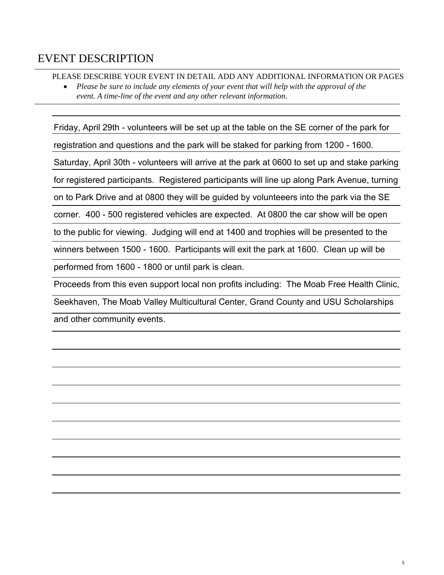#### EVENT DESCRIPTION

PLEASE DESCRIBE YOUR EVENT IN DETAIL ADD ANY ADDITIONAL INFORMATION OR PAGES

• *Please be sure to include any elements of your event that will help with the approval of the event. A time-line of the event and any other relevant information.*

Friday, April 29th - volunteers will be set up at the table on the SE corner of the park for registration and questions and the park will be staked for parking from 1200 - 1600. Saturday, April 30th - volunteers will arrive at the park at 0600 to set up and stake parking for registered participants. Registered participants will line up along Park Avenue, turning on to Park Drive and at 0800 they will be guided by volunteeers into the park via the SE corner. 400 - 500 registered vehicles are expected. At 0800 the car show will be open to the public for viewing. Judging will end at 1400 and trophies will be presented to the winners between 1500 - 1600. Participants will exit the park at 1600. Clean up will be performed from 1600 - 1800 or until park is clean. Proceeds from this even support local non profits including: The Moab Free Health Clinic,

Seekhaven, The Moab Valley Multicultural Center, Grand County and USU Scholarships and other community events.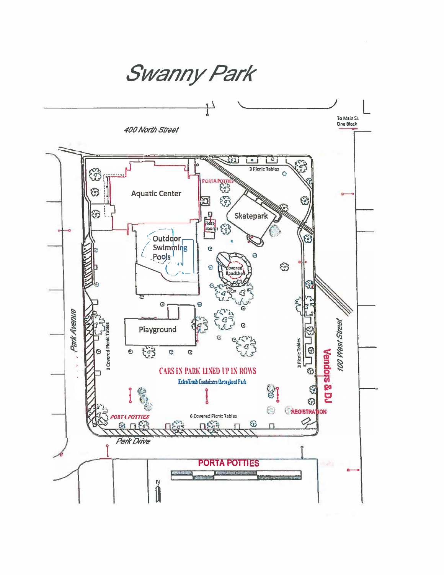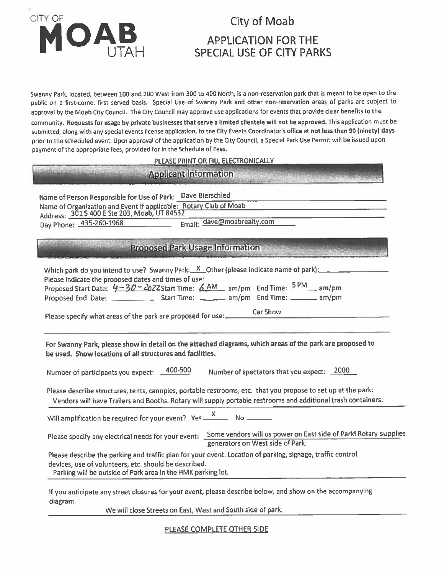# CITY OF OAB

### **City of Moab**

## **APPLICATION FOR THE SPECIAL USE OF CITY PARKS**

Swanny Park, located, between 100 and 200 West from 300 to 400 North, is a non-reservation park that is meant to be open to the public on a first-come, first served basis. Special Use of Swanny Park and other non-reservation areas of parks are subject to approval by the Moab City Council. The City Council may approve use applications for events that provide clear benefits to the community. Requests for usage by private businesses that serve a limited clientele will not be approved. This application must be submitted, along with any special events license application, to the City Events Coordinator's office at not less then 90 (ninety) days prior to the scheduled event. Upon approval of the application by the City Council, a Special Park Use Permit will be issued upon payment of the appropriate fees, provided for in the Schedule of Fees.

#### PLEASE PRINT OR FILL ELECTRONICALLY

# **Applicant Information**

Name of Person Responsible for Use of Park: Dave Bierschied Name of Organization and Event if applicable: Rotary Club of Moab Address: 301 S 400 E Ste 203, Moab, UT 84532 Email: dave@moabrealty.com Day Phone: 435-260-1968

#### **Proposed Park Usage Information**

| Which park do you intend to use? Swanny Park: $X$ Other (please indicate name of park): $\frac{X}{X}$                                                                                                                          |
|--------------------------------------------------------------------------------------------------------------------------------------------------------------------------------------------------------------------------------|
| Please indicate the proposed dates and times of use:<br>Proposed Start Date: $4-30-202$ 2Start Time: $6.4M$ am/pm End Time: $5PM$ am/pm                                                                                        |
| Car Show<br>Please specify what areas of the park are proposed for use:_______                                                                                                                                                 |
| For Swanny Park, please show in detail on the attached diagrams, which areas of the park are proposed to<br>be used. Show locations of all structures and facilities.                                                          |
| Number of participants you expect: 400-500<br>Number of spectators that you expect: 2000                                                                                                                                       |
| Please describe structures, tents, canopies, portable restrooms, etc. that you propose to set up at the park:<br>Vendors will have Trailers and Booths. Rotary will supply portable restrooms and additional trash containers. |
| Will amplification be required for your event? Yes $\frac{X}{X}$ No $\frac{X}{X}$                                                                                                                                              |
| Please specify any electrical needs for your event: Some vendors will us power on East side of Parkl Rotary supplies<br>generators on West side of Park.                                                                       |
| Please describe the parking and traffic plan for your event. Location of parking, signage, traffic control                                                                                                                     |
| devices, use of volunteers, etc. should be described.<br>Parking will be outside of Park area in the HMK parking lot.                                                                                                          |
| If you anticipate any street closures for your event, please describe below, and show on the accompanying<br>diagram.                                                                                                          |

We will close Streets on East, West and South side of park.

PLEASE COMPLETE OTHER SIDE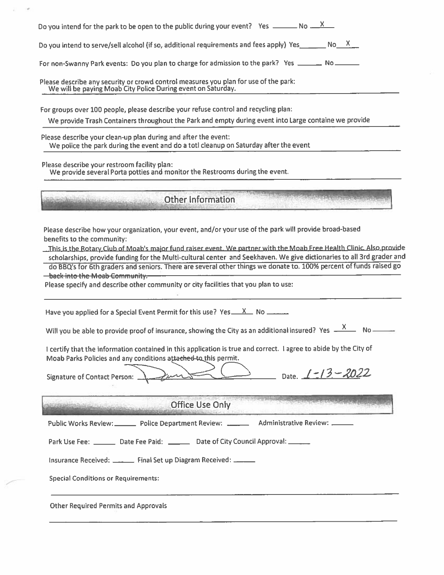| Do you intend to serve/sell alcohol (if so, additional requirements and fees apply) Yes ________ No ___ X__                                                                                                                                          |
|------------------------------------------------------------------------------------------------------------------------------------------------------------------------------------------------------------------------------------------------------|
| For non-Swanny Park events: Do you plan to charge for admission to the park? Yes ______ No ______                                                                                                                                                    |
| Please describe any security or crowd control measures you plan for use of the park:<br>We will be paying Moab City Police During event on Saturday.                                                                                                 |
| For groups over 100 people, please describe your refuse control and recycling plan:                                                                                                                                                                  |
| We provide Trash Containers throughout the Park and empty during event into Large containe we provide                                                                                                                                                |
| Please describe your clean-up plan during and after the event:<br>We police the park during the event and do a totl cleanup on Saturday after the event                                                                                              |
| Please describe your restroom facility plan:<br>We provide several Porta potties and monitor the Restrooms during the event.                                                                                                                         |
| Other Information                                                                                                                                                                                                                                    |
| do BBQ's for 6th graders and seniors. There are several other things we donate to. 100% percent of funds raised go<br><b>- back into the Moab Community.</b><br>Please specify and describe other community or city facilities that you plan to use: |
| Have you applied for a Special Event Permit for this use? Yes $X = N$ No $\ldots$                                                                                                                                                                    |
| Will you be able to provide proof of insurance, showing the City as an additional insured? Yes $\frac{X}{1-X}$ No =                                                                                                                                  |
| I certify that the information contained in this application is true and correct. I agree to abide by the City of<br>Moab Parks Policies and any conditions attached-to this permit.                                                                 |
| Date. $1 - 13 - 2022$<br><b>Signature of Contact Person:</b>                                                                                                                                                                                         |
|                                                                                                                                                                                                                                                      |
| Office Use Only                                                                                                                                                                                                                                      |
| Public Works Review: ________ Police Department Review: ________ Administrative Review: ______                                                                                                                                                       |
| Park Use Fee: ________ Date Fee Paid: ________ Date of City Council Approval: ______                                                                                                                                                                 |
| Insurance Received: _______ Final Set up Diagram Received: ______                                                                                                                                                                                    |
| <b>Special Conditions or Requirements:</b>                                                                                                                                                                                                           |
| <b>Other Required Permits and Approvals</b>                                                                                                                                                                                                          |

 $\frac{1}{2}$  (  $\pm$